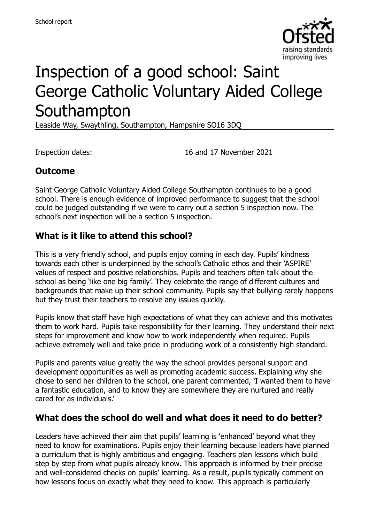

# Inspection of a good school: Saint George Catholic Voluntary Aided College Southampton

Leaside Way, Swaythling, Southampton, Hampshire SO16 3DQ

Inspection dates: 16 and 17 November 2021

## **Outcome**

Saint George Catholic Voluntary Aided College Southampton continues to be a good school. There is enough evidence of improved performance to suggest that the school could be judged outstanding if we were to carry out a section 5 inspection now. The school's next inspection will be a section 5 inspection.

#### **What is it like to attend this school?**

This is a very friendly school, and pupils enjoy coming in each day. Pupils' kindness towards each other is underpinned by the school's Catholic ethos and their 'ASPIRE' values of respect and positive relationships. Pupils and teachers often talk about the school as being 'like one big family'. They celebrate the range of different cultures and backgrounds that make up their school community. Pupils say that bullying rarely happens but they trust their teachers to resolve any issues quickly.

Pupils know that staff have high expectations of what they can achieve and this motivates them to work hard. Pupils take responsibility for their learning. They understand their next steps for improvement and know how to work independently when required. Pupils achieve extremely well and take pride in producing work of a consistently high standard.

Pupils and parents value greatly the way the school provides personal support and development opportunities as well as promoting academic success. Explaining why she chose to send her children to the school, one parent commented, 'I wanted them to have a fantastic education, and to know they are somewhere they are nurtured and really cared for as individuals.'

#### **What does the school do well and what does it need to do better?**

Leaders have achieved their aim that pupils' learning is 'enhanced' beyond what they need to know for examinations. Pupils enjoy their learning because leaders have planned a curriculum that is highly ambitious and engaging. Teachers plan lessons which build step by step from what pupils already know. This approach is informed by their precise and well-considered checks on pupils' learning. As a result, pupils typically comment on how lessons focus on exactly what they need to know. This approach is particularly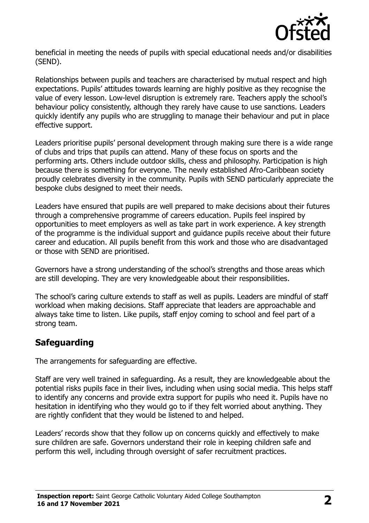

beneficial in meeting the needs of pupils with special educational needs and/or disabilities (SEND).

Relationships between pupils and teachers are characterised by mutual respect and high expectations. Pupils' attitudes towards learning are highly positive as they recognise the value of every lesson. Low-level disruption is extremely rare. Teachers apply the school's behaviour policy consistently, although they rarely have cause to use sanctions. Leaders quickly identify any pupils who are struggling to manage their behaviour and put in place effective support.

Leaders prioritise pupils' personal development through making sure there is a wide range of clubs and trips that pupils can attend. Many of these focus on sports and the performing arts. Others include outdoor skills, chess and philosophy. Participation is high because there is something for everyone. The newly established Afro-Caribbean society proudly celebrates diversity in the community. Pupils with SEND particularly appreciate the bespoke clubs designed to meet their needs.

Leaders have ensured that pupils are well prepared to make decisions about their futures through a comprehensive programme of careers education. Pupils feel inspired by opportunities to meet employers as well as take part in work experience. A key strength of the programme is the individual support and guidance pupils receive about their future career and education. All pupils benefit from this work and those who are disadvantaged or those with SEND are prioritised.

Governors have a strong understanding of the school's strengths and those areas which are still developing. They are very knowledgeable about their responsibilities.

The school's caring culture extends to staff as well as pupils. Leaders are mindful of staff workload when making decisions. Staff appreciate that leaders are approachable and always take time to listen. Like pupils, staff enjoy coming to school and feel part of a strong team.

## **Safeguarding**

The arrangements for safeguarding are effective.

Staff are very well trained in safeguarding. As a result, they are knowledgeable about the potential risks pupils face in their lives, including when using social media. This helps staff to identify any concerns and provide extra support for pupils who need it. Pupils have no hesitation in identifying who they would go to if they felt worried about anything. They are rightly confident that they would be listened to and helped.

Leaders' records show that they follow up on concerns quickly and effectively to make sure children are safe. Governors understand their role in keeping children safe and perform this well, including through oversight of safer recruitment practices.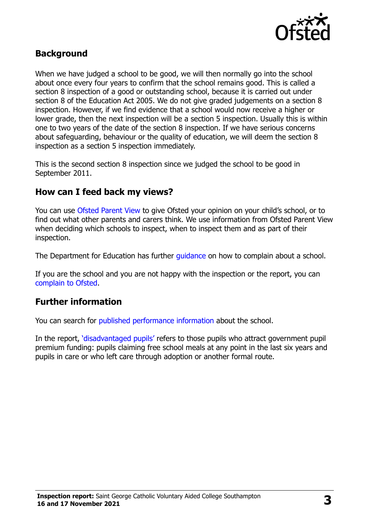

### **Background**

When we have judged a school to be good, we will then normally go into the school about once every four years to confirm that the school remains good. This is called a section 8 inspection of a good or outstanding school, because it is carried out under section 8 of the Education Act 2005. We do not give graded judgements on a section 8 inspection. However, if we find evidence that a school would now receive a higher or lower grade, then the next inspection will be a section 5 inspection. Usually this is within one to two years of the date of the section 8 inspection. If we have serious concerns about safeguarding, behaviour or the quality of education, we will deem the section 8 inspection as a section 5 inspection immediately.

This is the second section 8 inspection since we judged the school to be good in September 2011.

#### **How can I feed back my views?**

You can use [Ofsted Parent View](https://parentview.ofsted.gov.uk/) to give Ofsted your opinion on your child's school, or to find out what other parents and carers think. We use information from Ofsted Parent View when deciding which schools to inspect, when to inspect them and as part of their inspection.

The Department for Education has further quidance on how to complain about a school.

If you are the school and you are not happy with the inspection or the report, you can [complain to Ofsted.](https://www.gov.uk/complain-ofsted-report)

### **Further information**

You can search for [published performance information](http://www.compare-school-performance.service.gov.uk/) about the school.

In the report, '[disadvantaged pupils](http://www.gov.uk/guidance/pupil-premium-information-for-schools-and-alternative-provision-settings)' refers to those pupils who attract government pupil premium funding: pupils claiming free school meals at any point in the last six years and pupils in care or who left care through adoption or another formal route.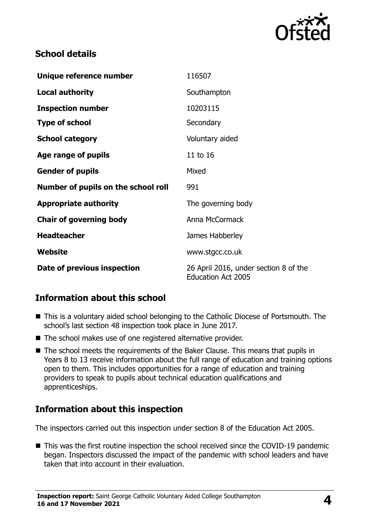

## **School details**

| Unique reference number             | 116507                                                             |
|-------------------------------------|--------------------------------------------------------------------|
| <b>Local authority</b>              | Southampton                                                        |
| <b>Inspection number</b>            | 10203115                                                           |
| <b>Type of school</b>               | Secondary                                                          |
| <b>School category</b>              | Voluntary aided                                                    |
| Age range of pupils                 | 11 to 16                                                           |
| <b>Gender of pupils</b>             | Mixed                                                              |
| Number of pupils on the school roll | 991                                                                |
| <b>Appropriate authority</b>        | The governing body                                                 |
| <b>Chair of governing body</b>      | Anna McCormack                                                     |
| <b>Headteacher</b>                  | James Habberley                                                    |
| Website                             | www.stgcc.co.uk                                                    |
| Date of previous inspection         | 26 April 2016, under section 8 of the<br><b>Education Act 2005</b> |

## **Information about this school**

- This is a voluntary aided school belonging to the Catholic Diocese of Portsmouth. The school's last section 48 inspection took place in June 2017.
- The school makes use of one registered alternative provider.
- The school meets the requirements of the Baker Clause. This means that pupils in Years 8 to 13 receive information about the full range of education and training options open to them. This includes opportunities for a range of education and training providers to speak to pupils about technical education qualifications and apprenticeships.

## **Information about this inspection**

The inspectors carried out this inspection under section 8 of the Education Act 2005.

■ This was the first routine inspection the school received since the COVID-19 pandemic began. Inspectors discussed the impact of the pandemic with school leaders and have taken that into account in their evaluation.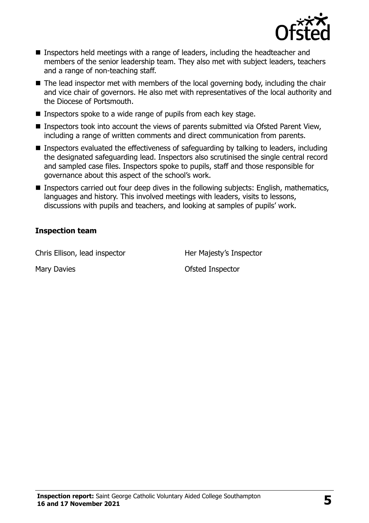

- Inspectors held meetings with a range of leaders, including the headteacher and members of the senior leadership team. They also met with subject leaders, teachers and a range of non-teaching staff.
- $\blacksquare$  The lead inspector met with members of the local governing body, including the chair and vice chair of governors. He also met with representatives of the local authority and the Diocese of Portsmouth.
- Inspectors spoke to a wide range of pupils from each key stage.
- Inspectors took into account the views of parents submitted via Ofsted Parent View, including a range of written comments and direct communication from parents.
- Inspectors evaluated the effectiveness of safeguarding by talking to leaders, including the designated safeguarding lead. Inspectors also scrutinised the single central record and sampled case files. Inspectors spoke to pupils, staff and those responsible for governance about this aspect of the school's work.
- Inspectors carried out four deep dives in the following subjects: English, mathematics, languages and history. This involved meetings with leaders, visits to lessons, discussions with pupils and teachers, and looking at samples of pupils' work.

#### **Inspection team**

Chris Ellison, lead inspector **Her Majesty's Inspector** 

Mary Davies **Mary Davies Mary Davies Mary Davies Mary Davies Mary Davies Mary Davies Mary Davies Mary Davies Mary Davies Mary Davies Mary Davies Mary Davies Mary Davies Mary Davies Mary Davies**